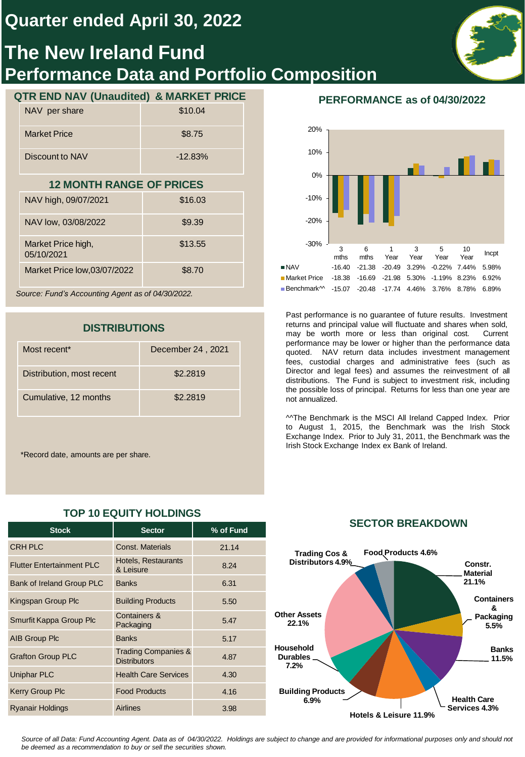## **Quarter ended April 30, 2022**

# **The New Ireland Fund Performance Data and Portfolio Composition**

## **QTR END NAV (Unaudited) & MARKET PRICE**

| NAV per share       | \$10.04   |
|---------------------|-----------|
| <b>Market Price</b> | \$8.75    |
| Discount to NAV     | $-12.83%$ |

### **12 MONTH RANGE OF PRICES**

| NAV high, 09/07/2021             | \$16.03 |
|----------------------------------|---------|
| NAV low, 03/08/2022              | \$9.39  |
| Market Price high,<br>05/10/2021 | \$13.55 |
| Market Price low, 03/07/2022     | \$8.70  |

*Source: Fund's Accounting Agent as of 04/30/2022.*

## **DISTRIBUTIONS**

| Most recent <sup>*</sup>  | December 24, 2021 |
|---------------------------|-------------------|
| Distribution, most recent | \$2,2819          |
| Cumulative, 12 months     | \$2,2819          |

\*Record date, amounts are per share.

| <b>Stock</b>                     | <b>Sector</b>                                         | % of Fund |
|----------------------------------|-------------------------------------------------------|-----------|
| <b>CRH PLC</b>                   | Const. Materials                                      | 21.14     |
| <b>Flutter Entertainment PLC</b> | Hotels, Restaurants<br>& Leisure                      | 8.24      |
| Bank of Ireland Group PLC        | <b>Banks</b>                                          | 6.31      |
| Kingspan Group Plc               | <b>Building Products</b>                              | 5.50      |
| Smurfit Kappa Group Plc          | Containers &<br>Packaging                             | 5.47      |
| AIB Group Plc                    | <b>Banks</b>                                          | 5.17      |
| <b>Grafton Group PLC</b>         | <b>Trading Companies &amp;</b><br><b>Distributors</b> | 4.87      |
| <b>Uniphar PLC</b>               | <b>Health Care Services</b>                           | 4.30      |
| <b>Kerry Group Plc</b>           | <b>Food Products</b>                                  | 4.16      |
| <b>Ryanair Holdings</b>          | <b>Airlines</b>                                       | 3.98      |

## **TOP 10 EQUITY HOLDINGS**

## **PERFORMANCE as of 04/30/2022**



Past performance is no guarantee of future results. Investment returns and principal value will fluctuate and shares when sold, may be worth more or less than original cost. Current performance may be lower or higher than the performance data quoted. NAV return data includes investment management fees, custodial charges and administrative fees (such as Director and legal fees) and assumes the reinvestment of all distributions. The Fund is subject to investment risk, including the possible loss of principal. Returns for less than one year are not annualized.

^^The Benchmark is the MSCI All Ireland Capped Index. Prior to August 1, 2015, the Benchmark was the Irish Stock Exchange Index. Prior to July 31, 2011, the Benchmark was the Irish Stock Exchange Index ex Bank of Ireland.



### **SECTOR BREAKDOWN**

Source of all Data: Fund Accounting Agent. Data as of 04/30/2022. Holdings are subject to change and are provided for informational purposes only and should not *be deemed as a recommendation to buy or sell the securities shown.*